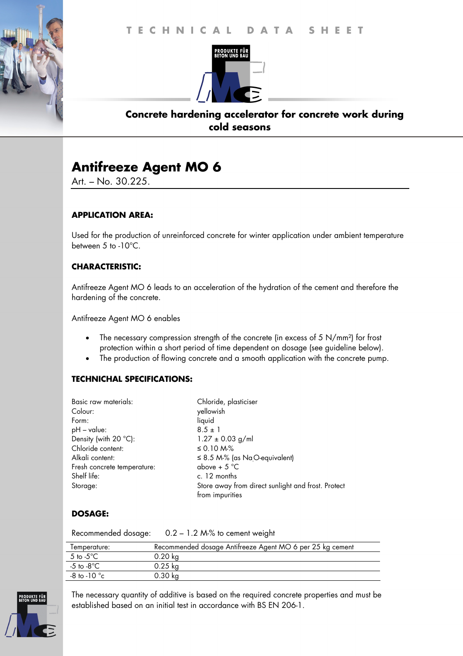#### **T E C H N I C A L D A T A S H E E T T E C H N I C A L D A T A S H E E T**



# **Concrete hardening accelerator for concrete work during cold seasons**

# **Antifreeze Agent MO 6**

Art. – No. 30.225.

## **APPLICATION AREA:**

Used for the production of unreinforced concrete for winter application under ambient temperature between 5 to -10°C.

## **CHARACTERISTIC:**

Antifreeze Agent MO 6 leads to an acceleration of the hydration of the cement and therefore the hardening of the concrete.

Antifreeze Agent MO 6 enables

- The necessary compression strength of the concrete (in excess of 5 N/mm<sup>2</sup>) for frost protection within a short period of time dependent on dosage (see guideline below).
- The production of flowing concrete and a smooth application with the concrete pump.

### **TECHNICHAL SPECIFICATIONS:**

| Basic raw materials:        | Chloride, plasticiser                              |
|-----------------------------|----------------------------------------------------|
| Colour:                     | yellowish                                          |
| Form:                       | liquid                                             |
| $pH - value$ :              | $8.5 \pm 1$                                        |
| Density (with 20 °C):       | $1.27 \pm 0.03$ g/ml                               |
| Chloride content:           | ≤ 0.10 M-%                                         |
| Alkali content:             | $\leq$ 8.5 M-% (as NaO-equivalent)                 |
| Fresh concrete temperature: | above + $5^{\circ}$ C                              |
| Shelf life:                 | c. 12 months                                       |
| Storage:                    | Store away from direct sunlight and frost. Protect |
|                             | from impurities                                    |

# **DOSAGE:**

Recommended dosage: 0.2 – 1.2 M-% to cement weight

| lemperature:             | Recommended dosage Antifreeze Agent MO 6 per 25 kg cement |
|--------------------------|-----------------------------------------------------------|
| 5 to $-5^{\circ}$ C      | 0.20 kg                                                   |
| -5 to -8 $^{\circ}$ C    | 0.25 kg                                                   |
| -8 to -10 $^{\circ}$ c . | $0.30$ kg                                                 |



The necessary quantity of additive is based on the required concrete properties and must be established based on an initial test in accordance with BS EN 206-1.